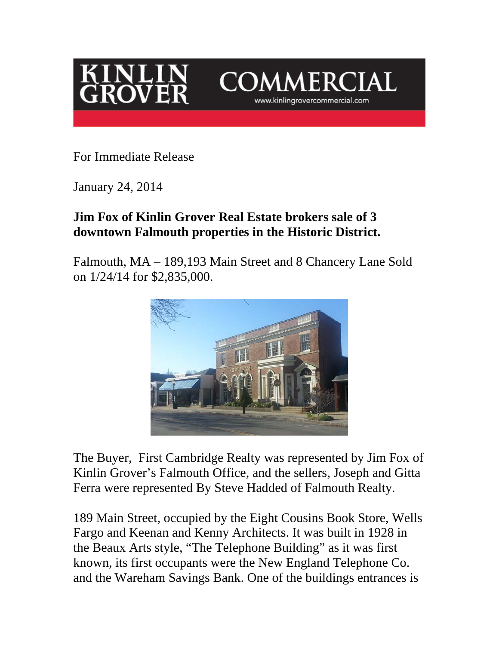



For Immediate Release

January 24, 2014

## **Jim Fox of Kinlin Grover Real Estate brokers sale of 3 downtown Falmouth properties in the Historic District.**

Falmouth, MA – 189,193 Main Street and 8 Chancery Lane Sold on 1/24/14 for \$2,835,000.



The Buyer, First Cambridge Realty was represented by Jim Fox of Kinlin Grover's Falmouth Office, and the sellers, Joseph and Gitta Ferra were represented By Steve Hadded of Falmouth Realty.

189 Main Street, occupied by the Eight Cousins Book Store, Wells Fargo and Keenan and Kenny Architects. It was built in 1928 in the Beaux Arts style, "The Telephone Building" as it was first known, its first occupants were the New England Telephone Co. and the Wareham Savings Bank. One of the buildings entrances is